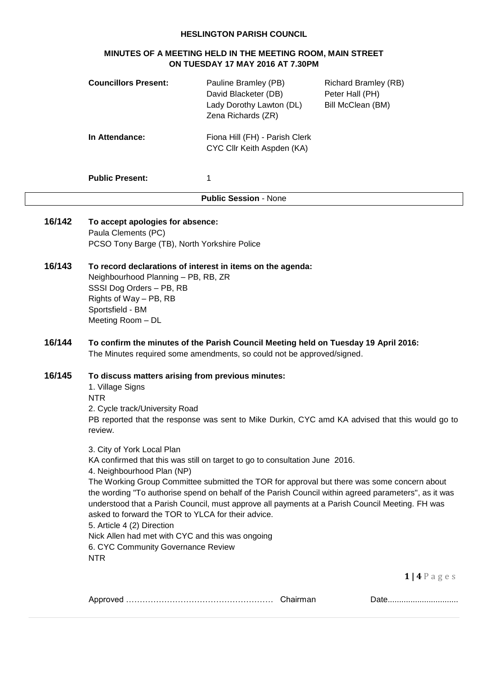#### **HESLINGTON PARISH COUNCIL**

## **MINUTES OF A MEETING HELD IN THE MEETING ROOM, MAIN STREET ON TUESDAY 17 MAY 2016 AT 7.30PM**

|        | <b>Councillors Present:</b>                                                                                                                                                                                                                                                                                                                                                                                                                                                                                                                                                                                                                   | Pauline Bramley (PB)<br>David Blacketer (DB)<br>Lady Dorothy Lawton (DL)<br>Zena Richards (ZR)                                                                | <b>Richard Bramley (RB)</b><br>Peter Hall (PH)<br>Bill McClean (BM) |  |
|--------|-----------------------------------------------------------------------------------------------------------------------------------------------------------------------------------------------------------------------------------------------------------------------------------------------------------------------------------------------------------------------------------------------------------------------------------------------------------------------------------------------------------------------------------------------------------------------------------------------------------------------------------------------|---------------------------------------------------------------------------------------------------------------------------------------------------------------|---------------------------------------------------------------------|--|
|        | In Attendance:                                                                                                                                                                                                                                                                                                                                                                                                                                                                                                                                                                                                                                | Fiona Hill (FH) - Parish Clerk<br>CYC Cllr Keith Aspden (KA)                                                                                                  |                                                                     |  |
|        | <b>Public Present:</b>                                                                                                                                                                                                                                                                                                                                                                                                                                                                                                                                                                                                                        | 1                                                                                                                                                             |                                                                     |  |
|        |                                                                                                                                                                                                                                                                                                                                                                                                                                                                                                                                                                                                                                               | <b>Public Session - None</b>                                                                                                                                  |                                                                     |  |
| 16/142 | To accept apologies for absence:<br>Paula Clements (PC)<br>PCSO Tony Barge (TB), North Yorkshire Police                                                                                                                                                                                                                                                                                                                                                                                                                                                                                                                                       |                                                                                                                                                               |                                                                     |  |
| 16/143 | To record declarations of interest in items on the agenda:<br>Neighbourhood Planning - PB, RB, ZR<br>SSSI Dog Orders - PB, RB<br>Rights of Way - PB, RB<br>Sportsfield - BM<br>Meeting Room - DL                                                                                                                                                                                                                                                                                                                                                                                                                                              |                                                                                                                                                               |                                                                     |  |
| 16/144 |                                                                                                                                                                                                                                                                                                                                                                                                                                                                                                                                                                                                                                               | To confirm the minutes of the Parish Council Meeting held on Tuesday 19 April 2016:<br>The Minutes required some amendments, so could not be approved/signed. |                                                                     |  |
| 16/145 | To discuss matters arising from previous minutes:<br>1. Village Signs<br><b>NTR</b><br>2. Cycle track/University Road<br>PB reported that the response was sent to Mike Durkin, CYC amd KA advised that this would go to<br>review.                                                                                                                                                                                                                                                                                                                                                                                                           |                                                                                                                                                               |                                                                     |  |
|        | 3. City of York Local Plan<br>KA confirmed that this was still on target to go to consultation June 2016.<br>4. Neighbourhood Plan (NP)<br>The Working Group Committee submitted the TOR for approval but there was some concern about<br>the wording "To authorise spend on behalf of the Parish Council within agreed parameters", as it was<br>understood that a Parish Council, must approve all payments at a Parish Council Meeting. FH was<br>asked to forward the TOR to YLCA for their advice.<br>5. Article 4 (2) Direction<br>Nick Allen had met with CYC and this was ongoing<br>6. CYC Community Governance Review<br><b>NTR</b> |                                                                                                                                                               |                                                                     |  |
|        |                                                                                                                                                                                                                                                                                                                                                                                                                                                                                                                                                                                                                                               |                                                                                                                                                               | $1   4 P$ a g e s                                                   |  |
|        |                                                                                                                                                                                                                                                                                                                                                                                                                                                                                                                                                                                                                                               |                                                                                                                                                               | Date                                                                |  |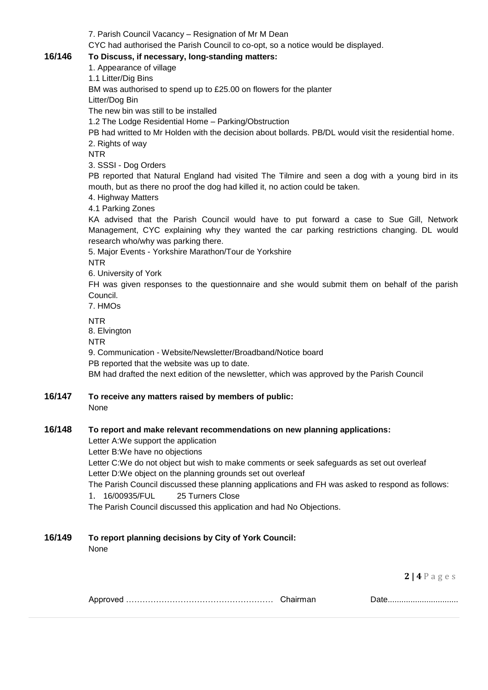7. Parish Council Vacancy – Resignation of Mr M Dean

CYC had authorised the Parish Council to co-opt, so a notice would be displayed.

## **16/146 To Discuss, if necessary, long-standing matters:**

1. Appearance of village

1.1 Litter/Dig Bins

BM was authorised to spend up to £25.00 on flowers for the planter

Litter/Dog Bin

The new bin was still to be installed

1.2 The Lodge Residential Home – Parking/Obstruction

PB had writted to Mr Holden with the decision about bollards. PB/DL would visit the residential home. 2. Rights of way

NTR

3. SSSI - Dog Orders

PB reported that Natural England had visited The Tilmire and seen a dog with a young bird in its mouth, but as there no proof the dog had killed it, no action could be taken.

4. Highway Matters

4.1 Parking Zones

KA advised that the Parish Council would have to put forward a case to Sue Gill, Network Management, CYC explaining why they wanted the car parking restrictions changing. DL would research who/why was parking there.

5. Major Events - Yorkshire Marathon/Tour de Yorkshire NTR

6. University of York

FH was given responses to the questionnaire and she would submit them on behalf of the parish Council.

7. HMOs

NTR

8. Elvington

NTR

9. Communication - Website/Newsletter/Broadband/Notice board PB reported that the website was up to date. BM had drafted the next edition of the newsletter, which was approved by the Parish Council

**16/147 To receive any matters raised by members of public:**

None

# **16/148 To report and make relevant recommendations on new planning applications:**

Letter A:We support the application

Letter B:We have no objections

Letter C:We do not object but wish to make comments or seek safeguards as set out overleaf Letter D:We object on the planning grounds set out overleaf

The Parish Council discussed these planning applications and FH was asked to respond as follows:

1. 16/00935/FUL 25 Turners Close

The Parish Council discussed this application and had No Objections.

## **16/149 To report planning decisions by City of York Council:**

None

**2 | 4** P a g e s

|  |  | <u> Dalv</u> |
|--|--|--------------|
|--|--|--------------|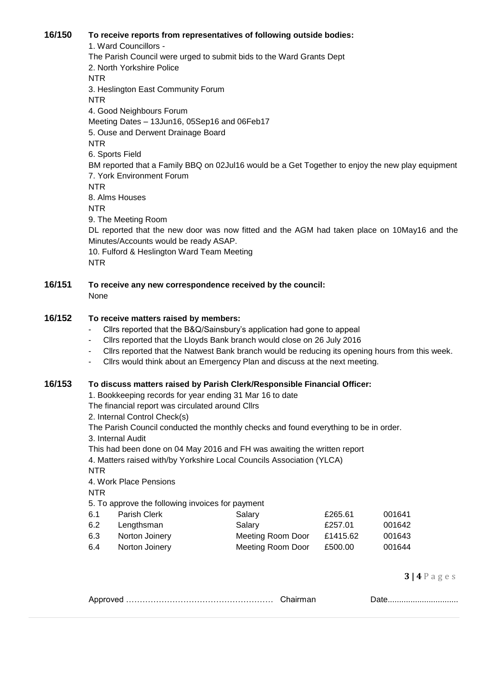#### **16/150 To receive reports from representatives of following outside bodies:**

1. Ward Councillors - The Parish Council were urged to submit bids to the Ward Grants Dept 2. North Yorkshire Police NTR 3. Heslington East Community Forum NTR 4. Good Neighbours Forum Meeting Dates – 13Jun16, 05Sep16 and 06Feb17 5. Ouse and Derwent Drainage Board NTR 6. Sports Field BM reported that a Family BBQ on 02Jul16 would be a Get Together to enjoy the new play equipment 7. York Environment Forum NTR 8. Alms Houses NTR 9. The Meeting Room DL reported that the new door was now fitted and the AGM had taken place on 10May16 and the Minutes/Accounts would be ready ASAP. 10. Fulford & Heslington Ward Team Meeting NTR

**16/151 To receive any new correspondence received by the council:** None

## **16/152 To receive matters raised by members:**

- Cllrs reported that the B&Q/Sainsbury's application had gone to appeal
- Cllrs reported that the Lloyds Bank branch would close on 26 July 2016
- Cllrs reported that the Natwest Bank branch would be reducing its opening hours from this week.
- Cllrs would think about an Emergency Plan and discuss at the next meeting.

#### **16/153 To discuss matters raised by Parish Clerk/Responsible Financial Officer:**

1. Bookkeeping records for year ending 31 Mar 16 to date

The financial report was circulated around Cllrs

2. Internal Control Check(s)

The Parish Council conducted the monthly checks and found everything to be in order.

3. Internal Audit

This had been done on 04 May 2016 and FH was awaiting the written report

4. Matters raised with/by Yorkshire Local Councils Association (YLCA)

NTR

4. Work Place Pensions

NTR

5. To approve the following invoices for payment

| 6.1 | Parish Clerk   | Salary            | £265.61  | 001641 |
|-----|----------------|-------------------|----------|--------|
| 6.2 | Lengthsman     | Salary            | £257.01  | 001642 |
| 6.3 | Norton Joinery | Meeting Room Door | £1415.62 | 001643 |
| 6.4 | Norton Joinery | Meeting Room Door | £500.00  | 001644 |

**3 | 4** P a g e s

| ີດ∧ດ<br>. | __ |  |
|-----------|----|--|
|           |    |  |